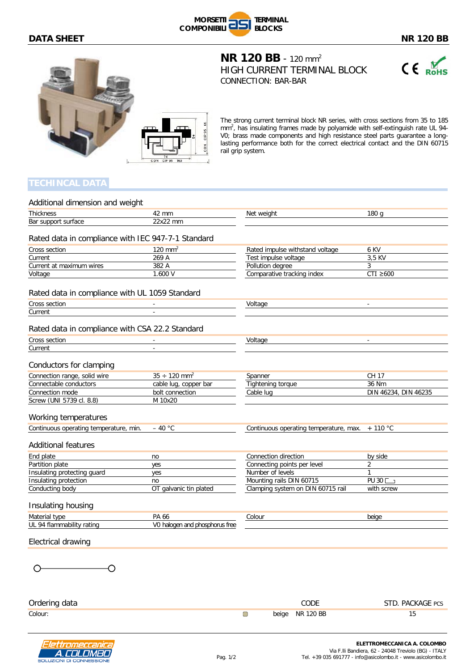## **DATA SHEET** NR 120 BB





**NR 120 BB** - 120 mm<sup>2</sup> HIGH CURRENT TERMINAL BLOCK CONNECTION: BAR-BAR



The strong current terminal block NR series, with cross sections from 35 to 185 mm<sup>2</sup>, has insulating frames made by polyamide with self-extinguish rate UL 94-V0; brass made components and high resistance steel parts guarantee a longlasting performance both for the correct electrical contact and the DIN 60715 rail grip system.

A. COLOMBO NI DI CONNES!

| Additional dimension and weight                    |                                |                                        |                              |
|----------------------------------------------------|--------------------------------|----------------------------------------|------------------------------|
| <b>Thickness</b>                                   | 42 mm                          | Net weight                             | 180q                         |
| Bar support surface                                | 22x22 mm                       |                                        |                              |
|                                                    |                                |                                        |                              |
| Rated data in compliance with IEC 947-7-1 Standard |                                |                                        |                              |
| Cross section                                      | $120$ mm <sup>2</sup>          | Rated impulse withstand voltage        | 6 KV                         |
| Current                                            | 269 A                          | Test impulse voltage                   | 3,5 KV                       |
| Current at maximum wires                           | 382 A                          | Pollution degree                       | 3                            |
| Voltage                                            | 1.600 V                        | Comparative tracking index             | $CTI \geq 600$               |
| Rated data in compliance with UL 1059 Standard     |                                |                                        |                              |
| Cross section                                      | $\overline{\phantom{a}}$       | Voltage                                | $\overline{\phantom{a}}$     |
| Current                                            | $\overline{\phantom{a}}$       |                                        |                              |
|                                                    |                                |                                        |                              |
| Rated data in compliance with CSA 22.2 Standard    |                                |                                        |                              |
| Cross section                                      |                                | Voltage                                |                              |
| Current                                            | $\blacksquare$                 |                                        |                              |
| Conductors for clamping                            |                                |                                        |                              |
| Connection range, solid wire                       | $35 \div 120$ mm <sup>2</sup>  | Spanner                                | CH 17                        |
| Connectable conductors                             | cable lug, copper bar          | Tightening torque                      | 36 Nm                        |
| Connection mode                                    | bolt connection                | Cable lug                              | DIN 46234, DIN 46235         |
| Screw (UNI 5739 cl. 8.8)                           | M 10x20                        |                                        |                              |
| Working temperatures                               |                                |                                        |                              |
| Continuous operating temperature, min.             | $-40 °C$                       | Continuous operating temperature, max. | $+110\degree$ C              |
| <b>Additional features</b>                         |                                |                                        |                              |
| End plate                                          | no                             | Connection direction                   | by side                      |
| Partition plate                                    | yes                            | Connecting points per level            | $\overline{2}$               |
| Insulating protecting guard                        | yes                            | Number of levels                       | $\mathbf{1}$                 |
| Insulating protection                              | no                             | Mounting rails DIN 60715               | PU 30                        |
| Conducting body                                    | OT galvanic tin plated         | Clamping system on DIN 60715 rail      | with screw                   |
| Insulating housing                                 |                                |                                        |                              |
| Material type                                      | PA 66                          | Colour                                 | beige                        |
| UL 94 flammability rating                          | V0 halogen and phosphorus free |                                        |                              |
| Electrical drawing                                 |                                |                                        |                              |
|                                                    |                                |                                        |                              |
|                                                    |                                |                                        |                              |
| Ordering data                                      |                                | CODE                                   | STD. PACKAGE PCS             |
| Colour:                                            |                                | <b>NR 120 BB</b><br>$\Box$<br>beige    | 15                           |
|                                                    |                                |                                        | EI ETTDOMECCANICA A. COLOMBO |